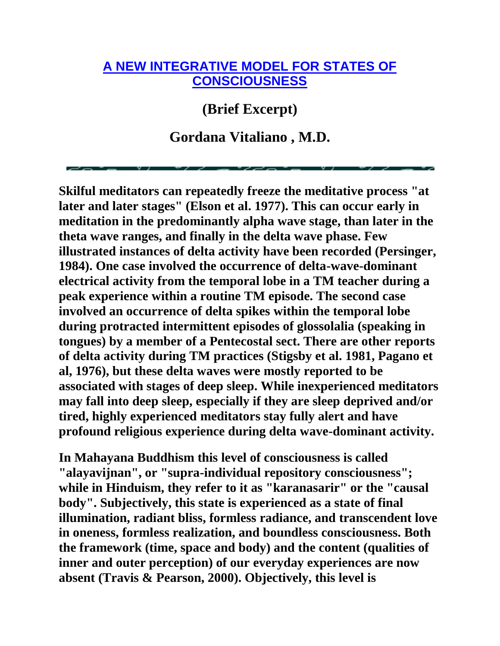## **[A NEW INTEGRATIVE MODEL FOR STATES OF](http://www.vxm.com/NLPVitaliano.html)  [CONSCIOUSNESS](http://www.vxm.com/NLPVitaliano.html)**

**(Brief Excerpt)**

**Gordana Vitaliano , M.D.**

**Skilful meditators can repeatedly freeze the meditative process "at later and later stages" (Elson et al. 1977). This can occur early in meditation in the predominantly alpha wave stage, than later in the theta wave ranges, and finally in the delta wave phase. Few illustrated instances of delta activity have been recorded (Persinger, 1984). One case involved the occurrence of delta-wave-dominant electrical activity from the temporal lobe in a TM teacher during a peak experience within a routine TM episode. The second case involved an occurrence of delta spikes within the temporal lobe during protracted intermittent episodes of glossolalia (speaking in tongues) by a member of a Pentecostal sect. There are other reports of delta activity during TM practices (Stigsby et al. 1981, Pagano et al, 1976), but these delta waves were mostly reported to be associated with stages of deep sleep. While inexperienced meditators may fall into deep sleep, especially if they are sleep deprived and/or tired, highly experienced meditators stay fully alert and have profound religious experience during delta wave-dominant activity.** 

**In Mahayana Buddhism this level of consciousness is called "alayavijnan", or "supra-individual repository consciousness"; while in Hinduism, they refer to it as "karanasarir" or the "causal body". Subjectively, this state is experienced as a state of final illumination, radiant bliss, formless radiance, and transcendent love in oneness, formless realization, and boundless consciousness. Both the framework (time, space and body) and the content (qualities of inner and outer perception) of our everyday experiences are now absent (Travis & Pearson, 2000). Objectively, this level is**